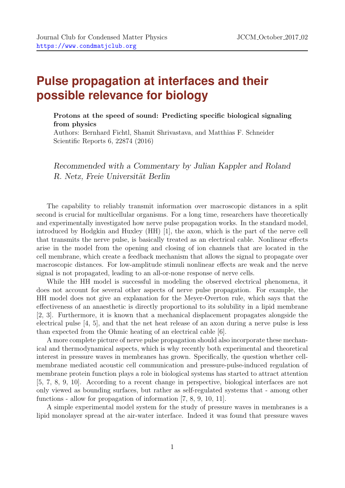## **Pulse propagation at interfaces and their possible relevance for biology**

Protons at the speed of sound: Predicting specific biological signaling from physics

Authors: Bernhard Fichtl, Shamit Shrivastava, and Matthias F. Schneider Scientific Reports 6, 22874 (2016)

*Recommended with a Commentary by Julian Kappler and Roland R. Netz, Freie Universität Berlin* 

The capability to reliably transmit information over macroscopic distances in a split second is crucial for multicellular organisms. For a long time, researchers have theoretically and experimentally investigated how nerve pulse propagation works. In the standard model, introduced by Hodgkin and Huxley (HH) [1], the axon, which is the part of the nerve cell that transmits the nerve pulse, is basically treated as an electrical cable. Nonlinear effects arise in the model from the opening and closing of ion channels that are located in the cell membrane, which create a feedback mechanism that allows the signal to propagate over macroscopic distances. For low-amplitude stimuli nonlinear effects are weak and the nerve signal is not propagated, leading to an all-or-none response of nerve cells.

While the HH model is successful in modeling the observed electrical phenomena, it does not account for several other aspects of nerve pulse propagation. For example, the HH model does not give an explanation for the Meyer-Overton rule, which says that the effectiveness of an anaesthetic is directly proportional to its solubility in a lipid membrane [2, 3]. Furthermore, it is known that a mechanical displacement propagates alongside the electrical pulse [4, 5], and that the net heat release of an axon during a nerve pulse is less than expected from the Ohmic heating of an electrical cable [6].

A more complete picture of nerve pulse propagation should also incorporate these mechanical and thermodynamical aspects, which is why recently both experimental and theoretical interest in pressure waves in membranes has grown. Specifically, the question whether cellmembrane mediated acoustic cell communication and pressure-pulse-induced regulation of membrane protein function plays a role in biological systems has started to attract attention [5, 7, 8, 9, 10]. According to a recent change in perspective, biological interfaces are not only viewed as bounding surfaces, but rather as self-regulated systems that - among other functions - allow for propagation of information [7, 8, 9, 10, 11].

A simple experimental model system for the study of pressure waves in membranes is a lipid monolayer spread at the air-water interface. Indeed it was found that pressure waves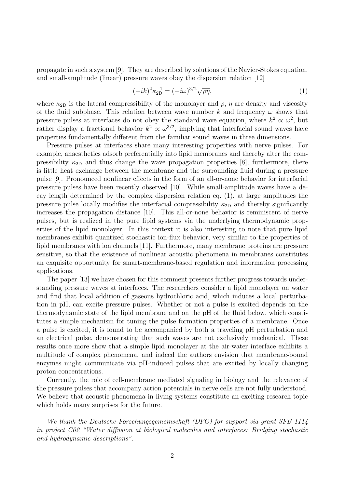propagate in such a system [9]. They are described by solutions of the Navier-Stokes equation, and small-amplitude (linear) pressure waves obey the dispersion relation [12]

$$
(-ik)^2 \kappa_{\text{2D}}^{-1} = (-i\omega)^{3/2} \sqrt{\rho \eta},\tag{1}
$$

where  $\kappa_{2D}$  is the lateral compressibility of the monolayer and  $\rho$ ,  $\eta$  are density and viscosity of the fluid subphase. This relation between wave number  $k$  and frequency  $\omega$  shows that pressure pulses at interfaces do not obey the standard wave equation, where  $k^2 \propto \omega^2$ , but rather display a fractional behavior  $k^2 \propto \omega^{3/2}$ , implying that interfacial sound waves have properties fundamentally different from the familiar sound waves in three dimensions.

Pressure pulses at interfaces share many interesting properties with nerve pulses. For example, anaesthetics adsorb preferentially into lipid membranes and thereby alter the compressibility  $\kappa_{2D}$  and thus change the wave propagation properties [8], furthermore, there is little heat exchange between the membrane and the surrounding fluid during a pressure pulse [9]. Pronounced nonlinear effects in the form of an all-or-none behavior for interfacial pressure pulses have been recently observed [10]. While small-amplitude waves have a decay length determined by the complex dispersion relation eq. (1), at large amplitudes the pressure pulse locally modifies the interfacial compressibility  $\kappa_{2D}$  and thereby significantly increases the propagation distance [10]. This all-or-none behavior is reminiscent of nerve pulses, but is realized in the pure lipid systems via the underlying thermodynamic properties of the lipid monolayer. In this context it is also interesting to note that pure lipid membranes exhibit quantized stochastic ion-flux behavior, very similar to the properties of lipid membranes with ion channels [11]. Furthermore, many membrane proteins are pressure sensitive, so that the existence of nonlinear acoustic phenomena in membranes constitutes an exquisite opportunity for smart-membrane-based regulation and information processing applications.

The paper [13] we have chosen for this comment presents further progress towards understanding pressure waves at interfaces. The researchers consider a lipid monolayer on water and find that local addition of gaseous hydrochloric acid, which induces a local perturbation in pH, can excite pressure pulses. Whether or not a pulse is excited depends on the thermodynamic state of the lipid membrane and on the pH of the fluid below, which constitutes a simple mechanism for tuning the pulse formation properties of a membrane. Once a pulse is excited, it is found to be accompanied by both a traveling pH perturbation and an electrical pulse, demonstrating that such waves are not exclusively mechanical. These results once more show that a simple lipid monolayer at the air-water interface exhibits a multitude of complex phenomena, and indeed the authors envision that membrane-bound enzymes might communicate via pH-induced pulses that are excited by locally changing proton concentrations.

Currently, the role of cell-membrane mediated signaling in biology and the relevance of the pressure pulses that accompany action potentials in nerve cells are not fully understood. We believe that acoustic phenomena in living systems constitute an exciting research topic which holds many surprises for the future.

*We thank the Deutsche Forschungsgemeinschaft (DFG) for support via grant SFB 1114 in project C02 "Water diffusion at biological molecules and interfaces: Bridging stochastic and hydrodynamic descriptions".*